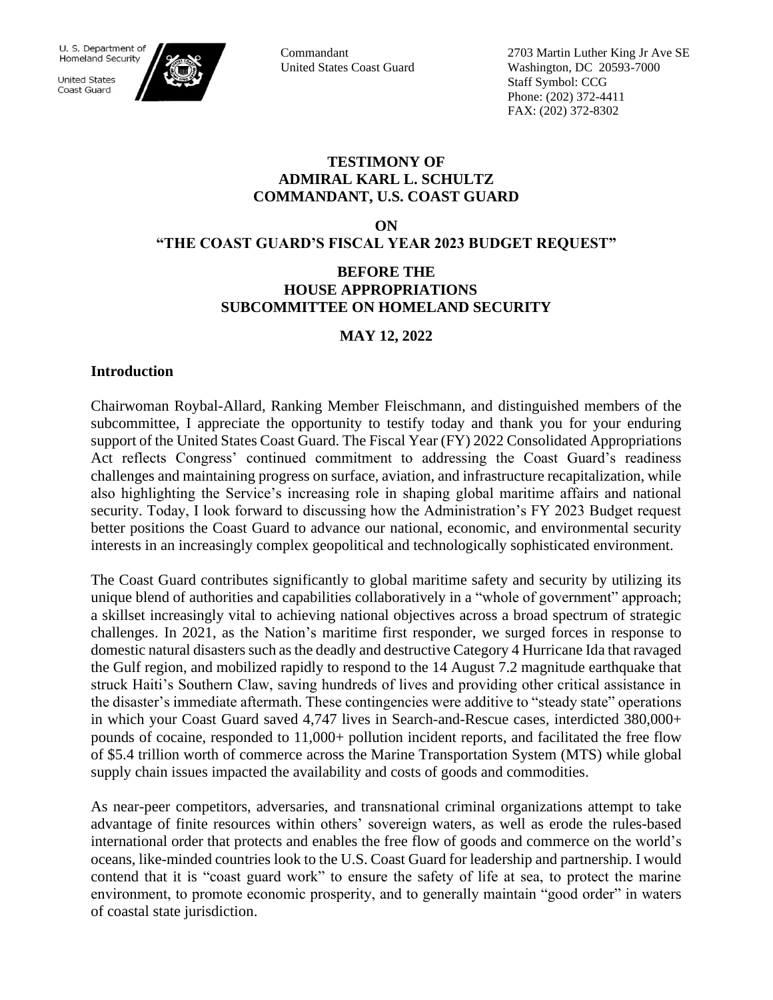**United States** Coast Guard



Commandant United States Coast Guard 2703 Martin Luther King Jr Ave SE Washington, DC 20593-7000 Staff Symbol: CCG Phone: (202) 372-4411 FAX: (202) 372-8302

### **TESTIMONY OF ADMIRAL KARL L. SCHULTZ COMMANDANT, U.S. COAST GUARD**

**ON** 

**"THE COAST GUARD'S FISCAL YEAR 2023 BUDGET REQUEST"**

## **BEFORE THE HOUSE APPROPRIATIONS SUBCOMMITTEE ON HOMELAND SECURITY**

# **MAY 12, 2022**

### **Introduction**

Chairwoman Roybal-Allard, Ranking Member Fleischmann, and distinguished members of the subcommittee, I appreciate the opportunity to testify today and thank you for your enduring support of the United States Coast Guard. The Fiscal Year (FY) 2022 Consolidated Appropriations Act reflects Congress' continued commitment to addressing the Coast Guard's readiness challenges and maintaining progress on surface, aviation, and infrastructure recapitalization, while also highlighting the Service's increasing role in shaping global maritime affairs and national security. Today, I look forward to discussing how the Administration's FY 2023 Budget request better positions the Coast Guard to advance our national, economic, and environmental security interests in an increasingly complex geopolitical and technologically sophisticated environment.

The Coast Guard contributes significantly to global maritime safety and security by utilizing its unique blend of authorities and capabilities collaboratively in a "whole of government" approach; a skillset increasingly vital to achieving national objectives across a broad spectrum of strategic challenges. In 2021, as the Nation's maritime first responder, we surged forces in response to domestic natural disasters such as the deadly and destructive Category 4 Hurricane Ida that ravaged the Gulf region, and mobilized rapidly to respond to the 14 August 7.2 magnitude earthquake that struck Haiti's Southern Claw, saving hundreds of lives and providing other critical assistance in the disaster's immediate aftermath. These contingencies were additive to "steady state" operations in which your Coast Guard saved 4,747 lives in Search-and-Rescue cases, interdicted 380,000+ pounds of cocaine, responded to 11,000+ pollution incident reports, and facilitated the free flow of \$5.4 trillion worth of commerce across the Marine Transportation System (MTS) while global supply chain issues impacted the availability and costs of goods and commodities.

As near-peer competitors, adversaries, and transnational criminal organizations attempt to take advantage of finite resources within others' sovereign waters, as well as erode the rules-based international order that protects and enables the free flow of goods and commerce on the world's oceans, like-minded countries look to the U.S. Coast Guard for leadership and partnership. I would contend that it is "coast guard work" to ensure the safety of life at sea, to protect the marine environment, to promote economic prosperity, and to generally maintain "good order" in waters of coastal state jurisdiction.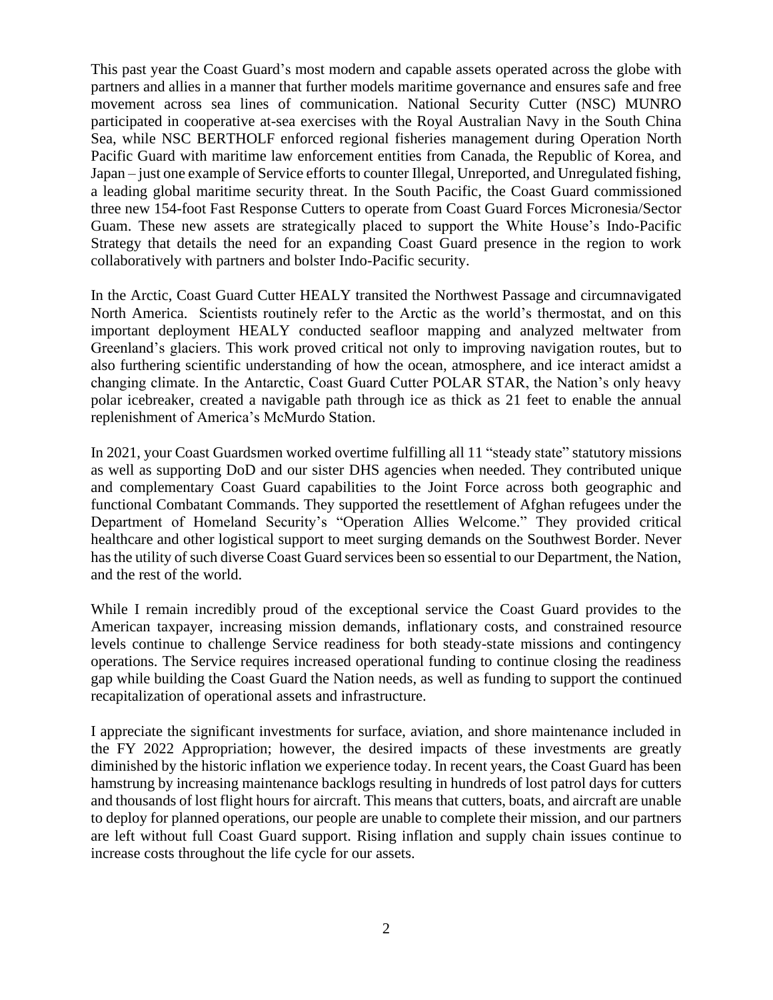This past year the Coast Guard's most modern and capable assets operated across the globe with partners and allies in a manner that further models maritime governance and ensures safe and free movement across sea lines of communication. National Security Cutter (NSC) MUNRO participated in cooperative at-sea exercises with the Royal Australian Navy in the South China Sea, while NSC BERTHOLF enforced regional fisheries management during Operation North Pacific Guard with maritime law enforcement entities from Canada, the Republic of Korea, and Japan – just one example of Service efforts to counter Illegal, Unreported, and Unregulated fishing, a leading global maritime security threat. In the South Pacific, the Coast Guard commissioned three new 154-foot Fast Response Cutters to operate from Coast Guard Forces Micronesia/Sector Guam. These new assets are strategically placed to support the White House's Indo-Pacific Strategy that details the need for an expanding Coast Guard presence in the region to work collaboratively with partners and bolster Indo-Pacific security.

In the Arctic, Coast Guard Cutter HEALY transited the Northwest Passage and circumnavigated North America. Scientists routinely refer to the Arctic as the world's thermostat, and on this important deployment HEALY conducted seafloor mapping and analyzed meltwater from Greenland's glaciers. This work proved critical not only to improving navigation routes, but to also furthering scientific understanding of how the ocean, atmosphere, and ice interact amidst a changing climate. In the Antarctic, Coast Guard Cutter POLAR STAR, the Nation's only heavy polar icebreaker, created a navigable path through ice as thick as 21 feet to enable the annual replenishment of America's McMurdo Station.

In 2021, your Coast Guardsmen worked overtime fulfilling all 11 "steady state" statutory missions as well as supporting DoD and our sister DHS agencies when needed. They contributed unique and complementary Coast Guard capabilities to the Joint Force across both geographic and functional Combatant Commands. They supported the resettlement of Afghan refugees under the Department of Homeland Security's "Operation Allies Welcome." They provided critical healthcare and other logistical support to meet surging demands on the Southwest Border. Never has the utility of such diverse Coast Guard services been so essential to our Department, the Nation, and the rest of the world.

While I remain incredibly proud of the exceptional service the Coast Guard provides to the American taxpayer, increasing mission demands, inflationary costs, and constrained resource levels continue to challenge Service readiness for both steady-state missions and contingency operations. The Service requires increased operational funding to continue closing the readiness gap while building the Coast Guard the Nation needs, as well as funding to support the continued recapitalization of operational assets and infrastructure.

I appreciate the significant investments for surface, aviation, and shore maintenance included in the FY 2022 Appropriation; however, the desired impacts of these investments are greatly diminished by the historic inflation we experience today. In recent years, the Coast Guard has been hamstrung by increasing maintenance backlogs resulting in hundreds of lost patrol days for cutters and thousands of lost flight hours for aircraft. This means that cutters, boats, and aircraft are unable to deploy for planned operations, our people are unable to complete their mission, and our partners are left without full Coast Guard support. Rising inflation and supply chain issues continue to increase costs throughout the life cycle for our assets.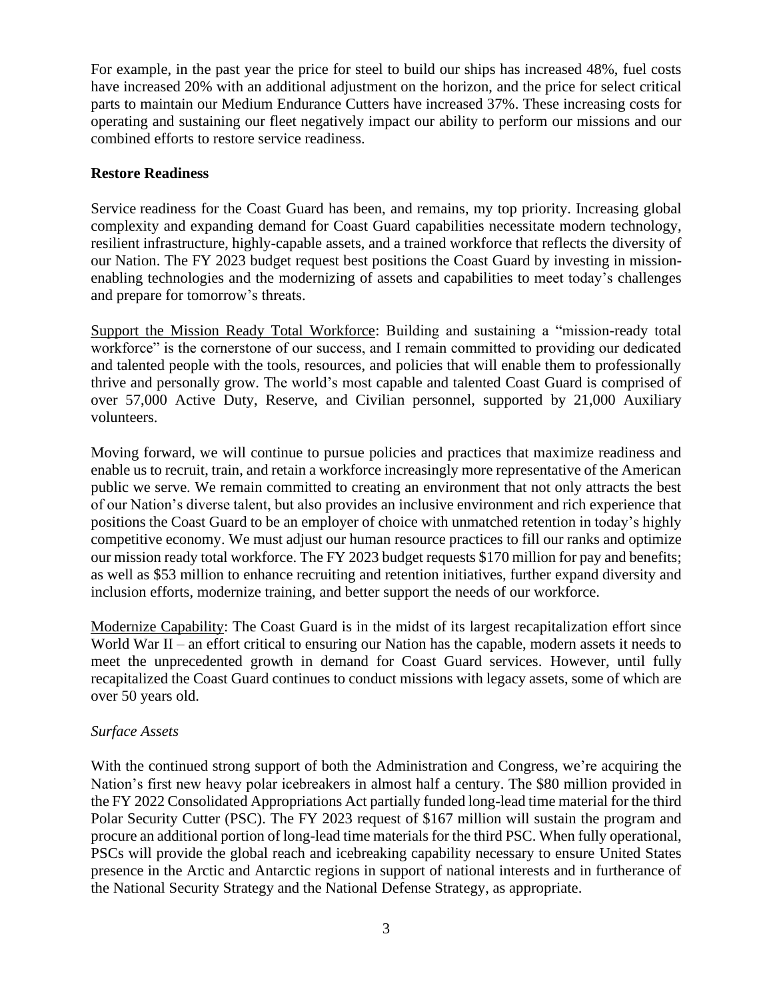For example, in the past year the price for steel to build our ships has increased 48%, fuel costs have increased 20% with an additional adjustment on the horizon, and the price for select critical parts to maintain our Medium Endurance Cutters have increased 37%. These increasing costs for operating and sustaining our fleet negatively impact our ability to perform our missions and our combined efforts to restore service readiness.

### **Restore Readiness**

Service readiness for the Coast Guard has been, and remains, my top priority. Increasing global complexity and expanding demand for Coast Guard capabilities necessitate modern technology, resilient infrastructure, highly-capable assets, and a trained workforce that reflects the diversity of our Nation. The FY 2023 budget request best positions the Coast Guard by investing in missionenabling technologies and the modernizing of assets and capabilities to meet today's challenges and prepare for tomorrow's threats.

Support the Mission Ready Total Workforce: Building and sustaining a "mission-ready total workforce" is the cornerstone of our success, and I remain committed to providing our dedicated and talented people with the tools, resources, and policies that will enable them to professionally thrive and personally grow. The world's most capable and talented Coast Guard is comprised of over 57,000 Active Duty, Reserve, and Civilian personnel, supported by 21,000 Auxiliary volunteers.

Moving forward, we will continue to pursue policies and practices that maximize readiness and enable us to recruit, train, and retain a workforce increasingly more representative of the American public we serve. We remain committed to creating an environment that not only attracts the best of our Nation's diverse talent, but also provides an inclusive environment and rich experience that positions the Coast Guard to be an employer of choice with unmatched retention in today's highly competitive economy. We must adjust our human resource practices to fill our ranks and optimize our mission ready total workforce. The FY 2023 budget requests \$170 million for pay and benefits; as well as \$53 million to enhance recruiting and retention initiatives, further expand diversity and inclusion efforts, modernize training, and better support the needs of our workforce.

Modernize Capability: The Coast Guard is in the midst of its largest recapitalization effort since World War II – an effort critical to ensuring our Nation has the capable, modern assets it needs to meet the unprecedented growth in demand for Coast Guard services. However, until fully recapitalized the Coast Guard continues to conduct missions with legacy assets, some of which are over 50 years old.

# *Surface Assets*

With the continued strong support of both the Administration and Congress, we're acquiring the Nation's first new heavy polar icebreakers in almost half a century. The \$80 million provided in the FY 2022 Consolidated Appropriations Act partially funded long-lead time material for the third Polar Security Cutter (PSC). The FY 2023 request of \$167 million will sustain the program and procure an additional portion of long-lead time materials for the third PSC. When fully operational, PSCs will provide the global reach and icebreaking capability necessary to ensure United States presence in the Arctic and Antarctic regions in support of national interests and in furtherance of the National Security Strategy and the National Defense Strategy, as appropriate.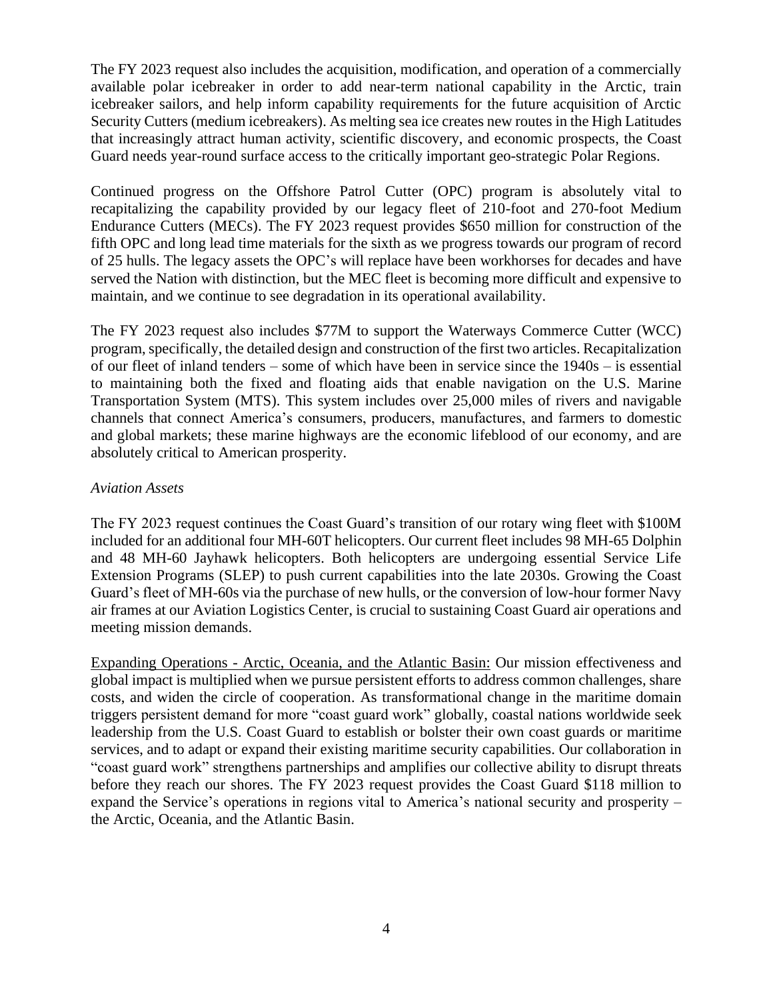The FY 2023 request also includes the acquisition, modification, and operation of a commercially available polar icebreaker in order to add near-term national capability in the Arctic, train icebreaker sailors, and help inform capability requirements for the future acquisition of Arctic Security Cutters (medium icebreakers). As melting sea ice creates new routes in the High Latitudes that increasingly attract human activity, scientific discovery, and economic prospects, the Coast Guard needs year-round surface access to the critically important geo-strategic Polar Regions.

Continued progress on the Offshore Patrol Cutter (OPC) program is absolutely vital to recapitalizing the capability provided by our legacy fleet of 210-foot and 270-foot Medium Endurance Cutters (MECs). The FY 2023 request provides \$650 million for construction of the fifth OPC and long lead time materials for the sixth as we progress towards our program of record of 25 hulls. The legacy assets the OPC's will replace have been workhorses for decades and have served the Nation with distinction, but the MEC fleet is becoming more difficult and expensive to maintain, and we continue to see degradation in its operational availability.

The FY 2023 request also includes \$77M to support the Waterways Commerce Cutter (WCC) program, specifically, the detailed design and construction of the first two articles. Recapitalization of our fleet of inland tenders – some of which have been in service since the 1940s – is essential to maintaining both the fixed and floating aids that enable navigation on the U.S. Marine Transportation System (MTS). This system includes over 25,000 miles of rivers and navigable channels that connect America's consumers, producers, manufactures, and farmers to domestic and global markets; these marine highways are the economic lifeblood of our economy, and are absolutely critical to American prosperity.

## *Aviation Assets*

The FY 2023 request continues the Coast Guard's transition of our rotary wing fleet with \$100M included for an additional four MH-60T helicopters. Our current fleet includes 98 MH-65 Dolphin and 48 MH-60 Jayhawk helicopters. Both helicopters are undergoing essential Service Life Extension Programs (SLEP) to push current capabilities into the late 2030s. Growing the Coast Guard's fleet of MH-60s via the purchase of new hulls, or the conversion of low-hour former Navy air frames at our Aviation Logistics Center, is crucial to sustaining Coast Guard air operations and meeting mission demands.

Expanding Operations - Arctic, Oceania, and the Atlantic Basin: Our mission effectiveness and global impact is multiplied when we pursue persistent efforts to address common challenges, share costs, and widen the circle of cooperation. As transformational change in the maritime domain triggers persistent demand for more "coast guard work" globally, coastal nations worldwide seek leadership from the U.S. Coast Guard to establish or bolster their own coast guards or maritime services, and to adapt or expand their existing maritime security capabilities. Our collaboration in "coast guard work" strengthens partnerships and amplifies our collective ability to disrupt threats before they reach our shores. The FY 2023 request provides the Coast Guard \$118 million to expand the Service's operations in regions vital to America's national security and prosperity – the Arctic, Oceania, and the Atlantic Basin.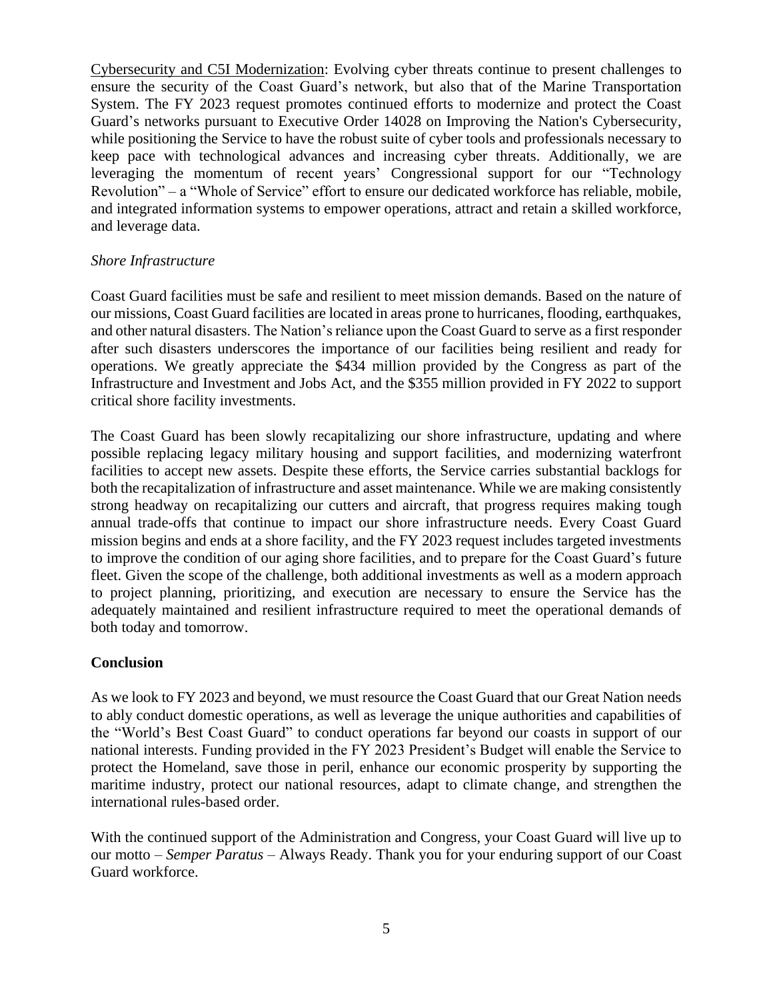Cybersecurity and C5I Modernization: Evolving cyber threats continue to present challenges to ensure the security of the Coast Guard's network, but also that of the Marine Transportation System. The FY 2023 request promotes continued efforts to modernize and protect the Coast Guard's networks pursuant to Executive Order 14028 on Improving the Nation's Cybersecurity, while positioning the Service to have the robust suite of cyber tools and professionals necessary to keep pace with technological advances and increasing cyber threats. Additionally, we are leveraging the momentum of recent years' Congressional support for our "Technology Revolution" – a "Whole of Service" effort to ensure our dedicated workforce has reliable, mobile, and integrated information systems to empower operations, attract and retain a skilled workforce, and leverage data.

### *Shore Infrastructure*

Coast Guard facilities must be safe and resilient to meet mission demands. Based on the nature of our missions, Coast Guard facilities are located in areas prone to hurricanes, flooding, earthquakes, and other natural disasters. The Nation's reliance upon the Coast Guard to serve as a first responder after such disasters underscores the importance of our facilities being resilient and ready for operations. We greatly appreciate the \$434 million provided by the Congress as part of the Infrastructure and Investment and Jobs Act, and the \$355 million provided in FY 2022 to support critical shore facility investments.

The Coast Guard has been slowly recapitalizing our shore infrastructure, updating and where possible replacing legacy military housing and support facilities, and modernizing waterfront facilities to accept new assets. Despite these efforts, the Service carries substantial backlogs for both the recapitalization of infrastructure and asset maintenance. While we are making consistently strong headway on recapitalizing our cutters and aircraft, that progress requires making tough annual trade-offs that continue to impact our shore infrastructure needs. Every Coast Guard mission begins and ends at a shore facility, and the FY 2023 request includes targeted investments to improve the condition of our aging shore facilities, and to prepare for the Coast Guard's future fleet. Given the scope of the challenge, both additional investments as well as a modern approach to project planning, prioritizing, and execution are necessary to ensure the Service has the adequately maintained and resilient infrastructure required to meet the operational demands of both today and tomorrow.

### **Conclusion**

As we look to FY 2023 and beyond, we must resource the Coast Guard that our Great Nation needs to ably conduct domestic operations, as well as leverage the unique authorities and capabilities of the "World's Best Coast Guard" to conduct operations far beyond our coasts in support of our national interests. Funding provided in the FY 2023 President's Budget will enable the Service to protect the Homeland, save those in peril, enhance our economic prosperity by supporting the maritime industry, protect our national resources, adapt to climate change, and strengthen the international rules-based order.

With the continued support of the Administration and Congress, your Coast Guard will live up to our motto – *Semper Paratus* – Always Ready. Thank you for your enduring support of our Coast Guard workforce.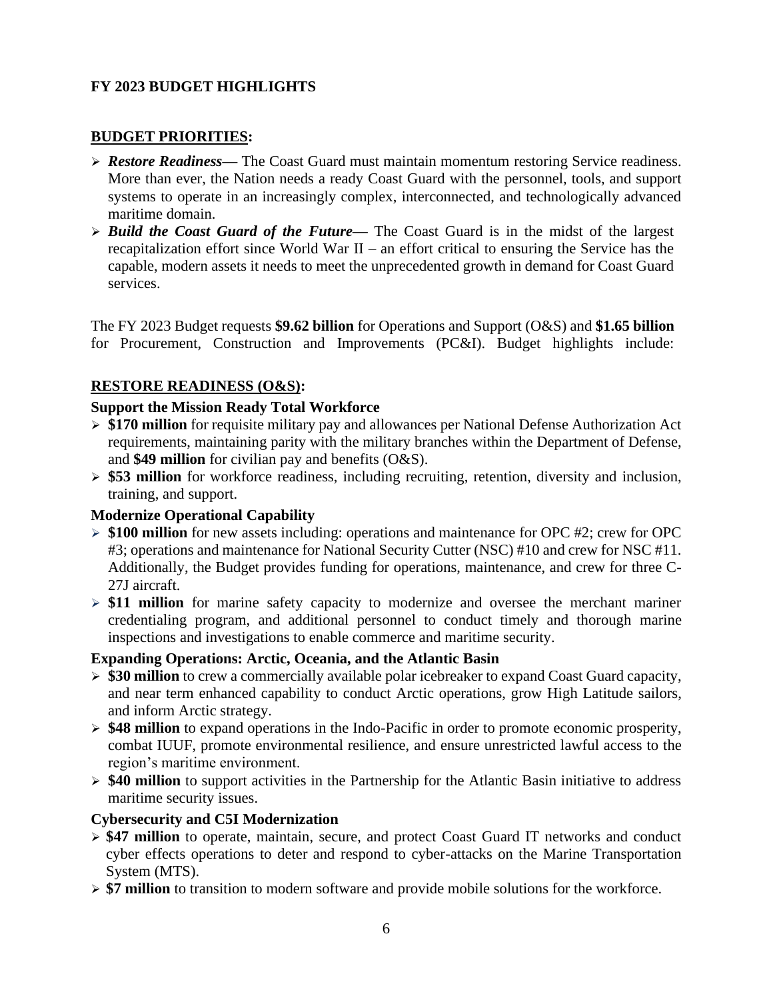# **FY 2023 BUDGET HIGHLIGHTS**

## **BUDGET PRIORITIES:**

- ➢ *Restore Readiness—* The Coast Guard must maintain momentum restoring Service readiness. More than ever, the Nation needs a ready Coast Guard with the personnel, tools, and support systems to operate in an increasingly complex, interconnected, and technologically advanced maritime domain.
- ➢ *Build the Coast Guard of the Future—* The Coast Guard is in the midst of the largest recapitalization effort since World War II – an effort critical to ensuring the Service has the capable, modern assets it needs to meet the unprecedented growth in demand for Coast Guard services.

The FY 2023 Budget requests **\$9.62 billion** for Operations and Support (O&S) and **\$1.65 billion** for Procurement, Construction and Improvements (PC&I). Budget highlights include:

### **RESTORE READINESS (O&S):**

### **Support the Mission Ready Total Workforce**

- ➢ **\$170 million** for requisite military pay and allowances per National Defense Authorization Act requirements, maintaining parity with the military branches within the Department of Defense, and **\$49 million** for civilian pay and benefits (O&S).
- ➢ **\$53 million** for workforce readiness, including recruiting, retention, diversity and inclusion, training, and support.

### **Modernize Operational Capability**

- ➢ **\$100 million** for new assets including: operations and maintenance for OPC #2; crew for OPC #3; operations and maintenance for National Security Cutter (NSC) #10 and crew for NSC #11. Additionally, the Budget provides funding for operations, maintenance, and crew for three C-27J aircraft.
- ➢ **\$11 million** for marine safety capacity to modernize and oversee the merchant mariner credentialing program, and additional personnel to conduct timely and thorough marine inspections and investigations to enable commerce and maritime security.

### **Expanding Operations: Arctic, Oceania, and the Atlantic Basin**

- ➢ **\$30 million** to crew a commercially available polar icebreaker to expand Coast Guard capacity, and near term enhanced capability to conduct Arctic operations, grow High Latitude sailors, and inform Arctic strategy.
- ➢ **\$48 million** to expand operations in the Indo-Pacific in order to promote economic prosperity, combat IUUF, promote environmental resilience, and ensure unrestricted lawful access to the region's maritime environment.
- ➢ **\$40 million** to support activities in the Partnership for the Atlantic Basin initiative to address maritime security issues.

### **Cybersecurity and C5I Modernization**

- ➢ **\$47 million** to operate, maintain, secure, and protect Coast Guard IT networks and conduct cyber effects operations to deter and respond to cyber-attacks on the Marine Transportation System (MTS).
- ➢ **\$7 million** to transition to modern software and provide mobile solutions for the workforce.